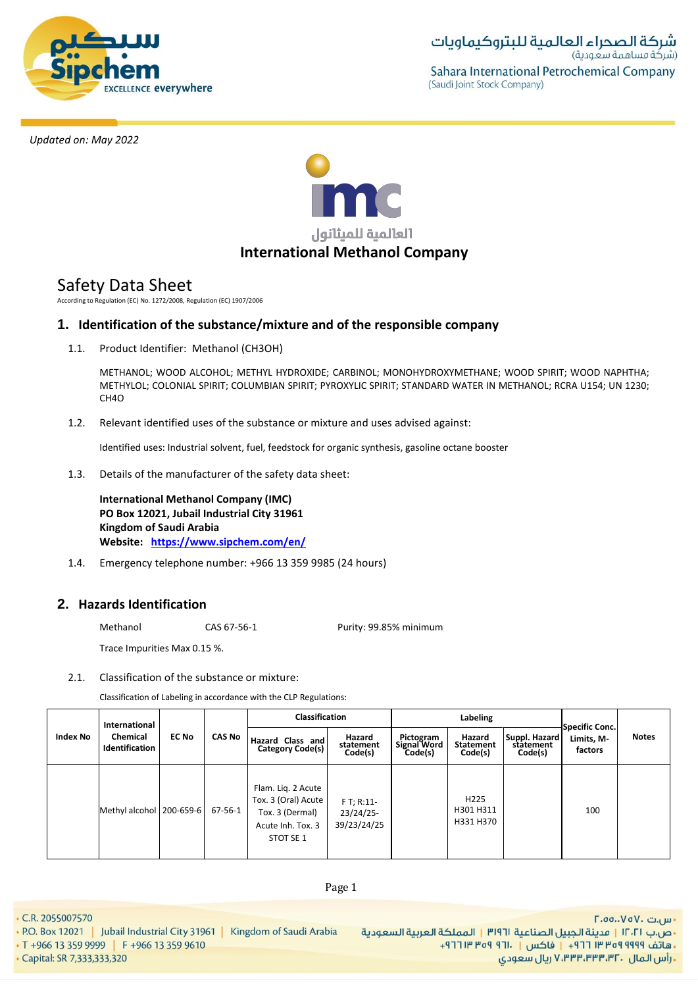



# Safety Data Sheet

According to Regulation (EC) No. 1272/2008, Regulation (EC) 1907/2006

# **1. Identification of the substance/mixture and of the responsible company**

1.1. Product Identifier: Methanol (CH3OH)

METHANOL; WOOD ALCOHOL; METHYL HYDROXIDE; CARBINOL; MONOHYDROXYMETHANE; WOOD SPIRIT; WOOD NAPHTHA; METHYLOL; COLONIAL SPIRIT; COLUMBIAN SPIRIT; PYROXYLIC SPIRIT; STANDARD WATER IN METHANOL; RCRA U154; UN 1230; CH4O

1.2. Relevant identified uses of the substance or mixture and uses advised against:

Identified uses: Industrial solvent, fuel, feedstock for organic synthesis, gasoline octane booster

1.3. Details of the manufacturer of the safety data sheet:

**International Methanol Company (IMC) PO Box 12021, Jubail Industrial City 31961 Kingdom of Saudi Arabia Website: <https://www.sipchem.com/en/>**

1.4. Emergency telephone number: +966 13 359 9985 (24 hours)

# **2. Hazards Identification**

Methanol CAS 67-56-1 Purity: 99.85% minimum

Trace Impurities Max 0.15 %.

# 2.1. Classification of the substance or mixture:

Classification of Labeling in accordance with the CLP Regulations:

|                 | International              |              |               | <b>Classification</b>                                                                          |                                         | Labeling                            |                                            |                                       | <b>Specific Conc.</b> |              |
|-----------------|----------------------------|--------------|---------------|------------------------------------------------------------------------------------------------|-----------------------------------------|-------------------------------------|--------------------------------------------|---------------------------------------|-----------------------|--------------|
| <b>Index No</b> | Chemical<br>Identification | <b>EC No</b> | <b>CAS No</b> | Hazard Class and<br>Category Code(s)                                                           | Hazard<br>statement<br>Code(s)          | Pictogram<br>Signal Word<br>Code(s) | Hazard<br><b>Statement</b><br>Code(s)      | Suppl. Hazard<br>statement<br>Code(s) | Limits, M-<br>factors | <b>Notes</b> |
|                 | Methyl alcohol   200-659-6 |              | 67-56-1       | Flam. Lig. 2 Acute<br>Tox. 3 (Oral) Acute<br>Tox. 3 (Dermal)<br>Acute Inh. Tox. 3<br>STOT SE 1 | $FT; R:11-$<br>23/24/25-<br>39/23/24/25 |                                     | H <sub>225</sub><br>H301 H311<br>H331 H370 |                                       | 100                   |              |

• C.R. 2055007570

- P.O. Box 12021 | Jubail Industrial City 31961 | Kingdom of Saudi Arabia
- T +966 13 359 9999 F +966 13 359 9610

· Capital: SR 7,333,333,320

Page 1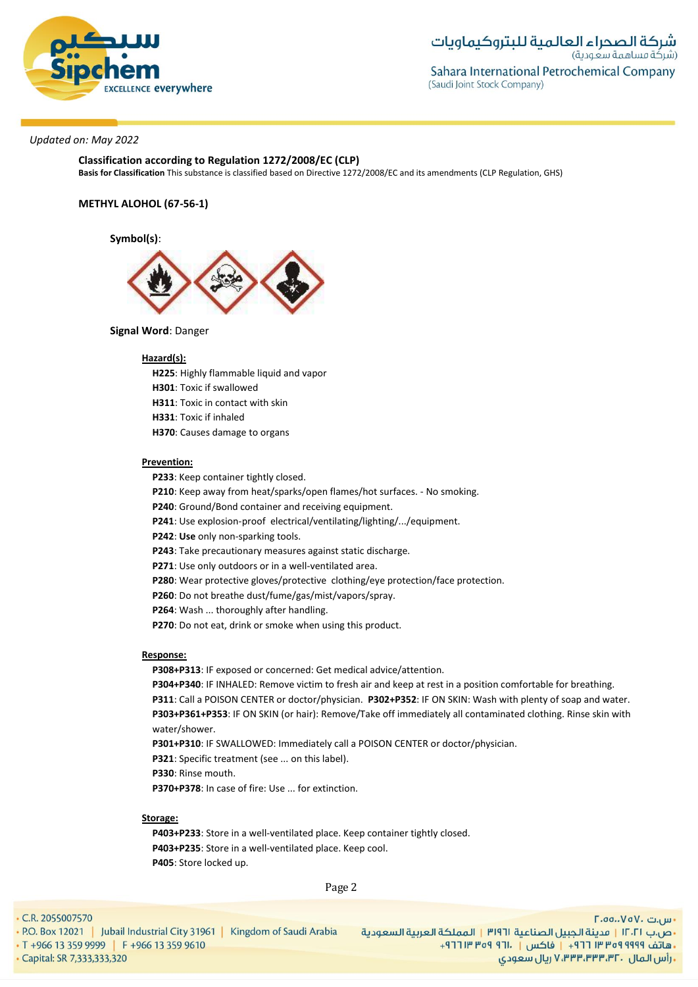

**Classification according to Regulation 1272/2008/EC (CLP)**

**Basis for Classification** This substance is classified based on Directive 1272/2008/EC and its amendments (CLP Regulation, GHS)

#### **METHYL ALOHOL (67-56-1)**

**Symbol(s)**:



#### **Signal Word**: Danger

#### **Hazard(s):**

**H225**: Highly flammable liquid and vapor

**H301**: Toxic if swallowed

- **H311**: Toxic in contact with skin
- **H331**: Toxic if inhaled
- **H370**: Causes damage to organs

#### **Prevention:**

**P233**: Keep container tightly closed.

**P210**: Keep away from heat/sparks/open flames/hot surfaces. - No smoking.

**P240**: Ground/Bond container and receiving equipment.

**P241**: Use explosion-proof electrical/ventilating/lighting/.../equipment.

**P242**: **Use** only non-sparking tools.

**P243**: Take precautionary measures against static discharge.

**P271**: Use only outdoors or in a well-ventilated area.

**P280**: Wear protective gloves/protective clothing/eye protection/face protection.

**P260**: Do not breathe dust/fume/gas/mist/vapors/spray.

**P264**: Wash ... thoroughly after handling.

**P270**: Do not eat, drink or smoke when using this product.

#### **Response:**

**P308+P313**: IF exposed or concerned: Get medical advice/attention.

**P304+P340**: IF INHALED: Remove victim to fresh air and keep at rest in a position comfortable for breathing. **P311**: Call a POISON CENTER or doctor/physician. **P302+P352**: IF ON SKIN: Wash with plenty of soap and water. **P303+P361+P353**: IF ON SKIN (or hair): Remove/Take off immediately all contaminated clothing. Rinse skin with water/shower.

**P301+P310**: IF SWALLOWED: Immediately call a POISON CENTER or doctor/physician.

**P321**: Specific treatment (see ... on this label).

**P330**: Rinse mouth.

**P370+P378**: In case of fire: Use ... for extinction.

# **Storage:**

**P403+P233**: Store in a well-ventilated place. Keep container tightly closed. **P403+P235**: Store in a well-ventilated place. Keep cool. **P405**: Store locked up.

Page 2

#### • C.R. 2055007570

• P.O. Box 12021 | Jubail Industrial City 31961 | Kingdom of Saudi Arabia • T +966 13 359 9999 F +966 13 359 9610 · Capital: SR 7,333,333,320

**F.**oo..VoV. س.ت •ص.ب ١٢٠٢١ | مدينة الجبيل الصناعية ٣١٩٦١ | المملكة العربية السعودية -هاتف ٩٩٩٩ ٩٩٩٩ ٣٥٣ ٢١٢ + | فاكس | . ١٣١١ ٩٥٩ ٣١٢ + **, رأس المال ۷٬۳۳۳٬۳۳۰٬۳۲۰ ریال سعودی**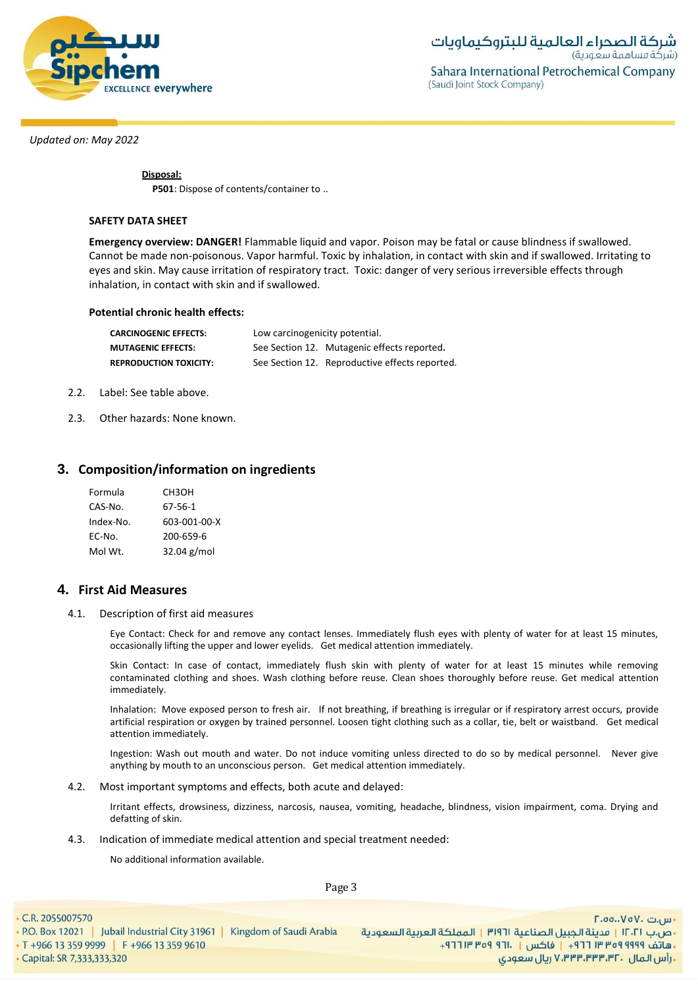

**Disposal:**

**P501**: Dispose of contents/container to ..

#### **SAFETY DATA SHEET**

**Emergency overview: DANGER!** Flammable liquid and vapor. Poison may be fatal or cause blindness if swallowed. Cannot be made non-poisonous. Vapor harmful. Toxic by inhalation, in contact with skin and if swallowed. Irritating to eyes and skin. May cause irritation of respiratory tract. Toxic: danger of very serious irreversible effects through inhalation, in contact with skin and if swallowed.

#### **Potential chronic health effects:**

| <b>CARCINOGENIC EFFECTS:</b>  | Low carcinogenicity potential. |                                                |  |  |  |
|-------------------------------|--------------------------------|------------------------------------------------|--|--|--|
| <b>MUTAGENIC EFFECTS:</b>     |                                | See Section 12. Mutagenic effects reported.    |  |  |  |
| <b>REPRODUCTION TOXICITY:</b> |                                | See Section 12. Reproductive effects reported. |  |  |  |

- 2.2. Label: See table above.
- 2.3. Other hazards: None known.

# **3. Composition/information on ingredients**

| Formula   | СНЗОН        |
|-----------|--------------|
| CAS-No.   | 67-56-1      |
| Index-No. | 603-001-00-X |
| EC-No.    | 200-659-6    |
| Mol Wt.   | 32.04 g/mol  |

# **4. First Aid Measures**

4.1. Description of first aid measures

Eye Contact: Check for and remove any contact lenses. Immediately flush eyes with plenty of water for at least 15 minutes, occasionally lifting the upper and lower eyelids. Get medical attention immediately.

Skin Contact: In case of contact, immediately flush skin with plenty of water for at least 15 minutes while removing contaminated clothing and shoes. Wash clothing before reuse. Clean shoes thoroughly before reuse. Get medical attention immediately.

Inhalation: Move exposed person to fresh air. If not breathing, if breathing is irregular or if respiratory arrest occurs, provide artificial respiration or oxygen by trained personnel. Loosen tight clothing such as a collar, tie, belt or waistband. Get medical attention immediately.

Ingestion: Wash out mouth and water. Do not induce vomiting unless directed to do so by medical personnel. Never give anything by mouth to an unconscious person. Get medical attention immediately.

4.2. Most important symptoms and effects, both acute and delayed:

Irritant effects, drowsiness, dizziness, narcosis, nausea, vomiting, headache, blindness, vision impairment, coma. Drying and defatting of skin.

4.3. Indication of immediate medical attention and special treatment needed:

No additional information available.

Page 3

• C.R. 2055007570 - س.ت ۷۵۷۰، ۲.۵۵.۰۷۵ • P.O. Box 12021 | Jubail Industrial City 31961 | Kingdom of Saudi Arabia •ص.ب ١٢٠٢١ | مدينة الجبيل الصناعية ٣١٩٦١ | المملكة العربية السعودية • T +966 13 359 9999 | F +966 13 359 9610 +هاتف ٩٩٩٩ ٩٥٩ ٣٣ ٢٦٦ + | فاكس | ١٣٠١ ٩٦٩ ٣١٣ ٢٦٢ · Capital: SR 7,333,333,320 **. رأس المال ۷٬۳۳۳٬۳۳۳٬۳۲۰ ریال سعودی**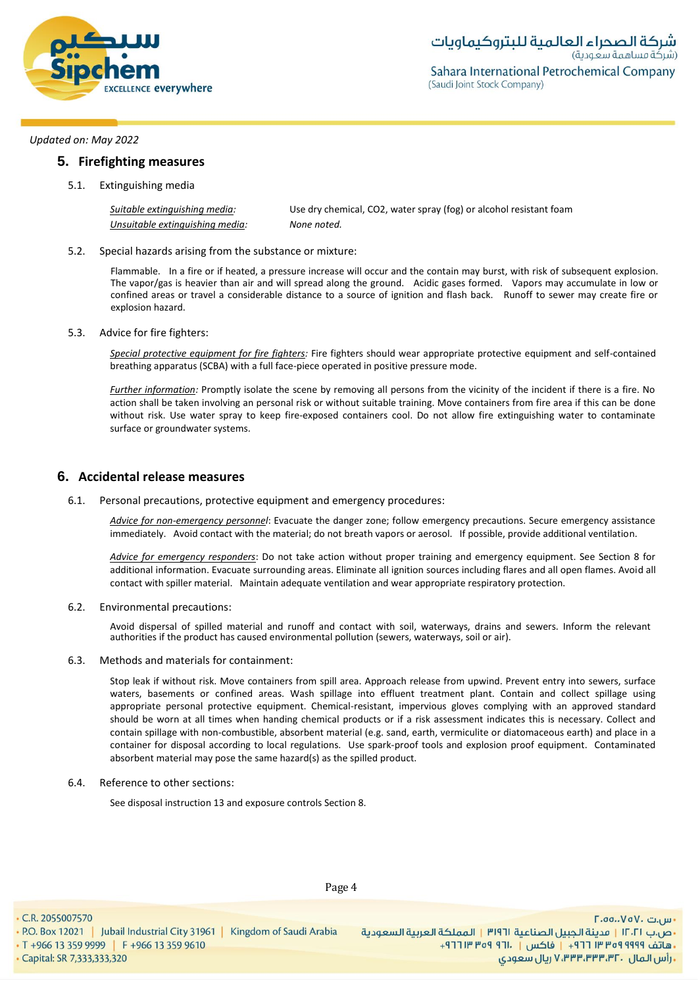

# **5. Firefighting measures**

5.1. Extinguishing media

| Suitable extinguishing media:   | Use dry chemical, CO2, water spray (fog) or alcohol resistant foam |
|---------------------------------|--------------------------------------------------------------------|
| Unsuitable extinguishing media: | None noted.                                                        |

5.2. Special hazards arising from the substance or mixture:

Flammable. In a fire or if heated, a pressure increase will occur and the contain may burst, with risk of subsequent explosion. The vapor/gas is heavier than air and will spread along the ground. Acidic gases formed. Vapors may accumulate in low or confined areas or travel a considerable distance to a source of ignition and flash back. Runoff to sewer may create fire or explosion hazard.

5.3. Advice for fire fighters:

*Special protective equipment for fire fighters:* Fire fighters should wear appropriate protective equipment and self-contained breathing apparatus (SCBA) with a full face-piece operated in positive pressure mode.

*Further information:* Promptly isolate the scene by removing all persons from the vicinity of the incident if there is a fire. No action shall be taken involving an personal risk or without suitable training. Move containers from fire area if this can be done without risk. Use water spray to keep fire-exposed containers cool. Do not allow fire extinguishing water to contaminate surface or groundwater systems.

# **6. Accidental release measures**

6.1. Personal precautions, protective equipment and emergency procedures:

*Advice for non-emergency personnel*: Evacuate the danger zone; follow emergency precautions. Secure emergency assistance immediately. Avoid contact with the material; do not breath vapors or aerosol. If possible, provide additional ventilation.

*Advice for emergency responders*: Do not take action without proper training and emergency equipment. See Section 8 for additional information. Evacuate surrounding areas. Eliminate all ignition sources including flares and all open flames. Avoid all contact with spiller material. Maintain adequate ventilation and wear appropriate respiratory protection.

#### 6.2. Environmental precautions:

Avoid dispersal of spilled material and runoff and contact with soil, waterways, drains and sewers. Inform the relevant authorities if the product has caused environmental pollution (sewers, waterways, soil or air).

#### 6.3. Methods and materials for containment:

Stop leak if without risk. Move containers from spill area. Approach release from upwind. Prevent entry into sewers, surface waters, basements or confined areas. Wash spillage into effluent treatment plant. Contain and collect spillage using appropriate personal protective equipment. Chemical-resistant, impervious gloves complying with an approved standard should be worn at all times when handing chemical products or if a risk assessment indicates this is necessary. Collect and contain spillage with non-combustible, absorbent material (e.g. sand, earth, vermiculite or diatomaceous earth) and place in a container for disposal according to local regulations. Use spark-proof tools and explosion proof equipment. Contaminated absorbent material may pose the same hazard(s) as the spilled product.

#### 6.4. Reference to other sections:

• P.O. Box 12021 | Jubail Industrial City 31961 | Kingdom of Saudi Arabia

See disposal instruction 13 and exposure controls Section 8.

• C.R. 2055007570

· Capital: SR 7,333,333,320

• T +966 13 359 9999 | F +966 13 359 9610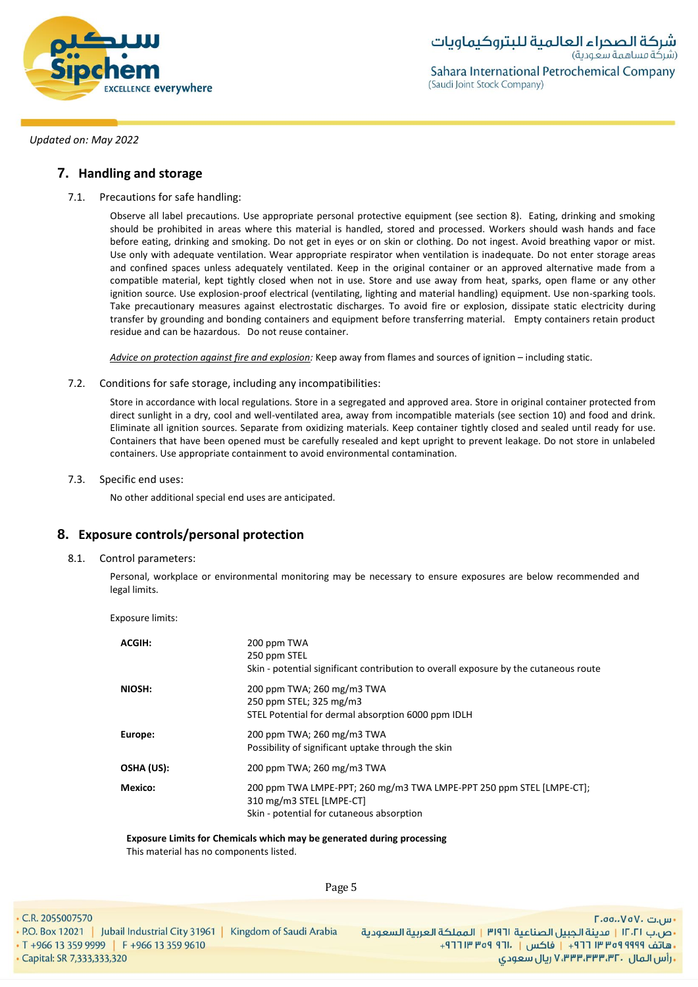

# **7. Handling and storage**

7.1. Precautions for safe handling:

Observe all label precautions. Use appropriate personal protective equipment (see section 8). Eating, drinking and smoking should be prohibited in areas where this material is handled, stored and processed. Workers should wash hands and face before eating, drinking and smoking. Do not get in eyes or on skin or clothing. Do not ingest. Avoid breathing vapor or mist. Use only with adequate ventilation. Wear appropriate respirator when ventilation is inadequate. Do not enter storage areas and confined spaces unless adequately ventilated. Keep in the original container or an approved alternative made from a compatible material, kept tightly closed when not in use. Store and use away from heat, sparks, open flame or any other ignition source. Use explosion-proof electrical (ventilating, lighting and material handling) equipment. Use non-sparking tools. Take precautionary measures against electrostatic discharges. To avoid fire or explosion, dissipate static electricity during transfer by grounding and bonding containers and equipment before transferring material. Empty containers retain product residue and can be hazardous. Do not reuse container.

*Advice on protection against fire and explosion:* Keep away from flames and sources of ignition – including static.

7.2. Conditions for safe storage, including any incompatibilities:

Store in accordance with local regulations. Store in a segregated and approved area. Store in original container protected from direct sunlight in a dry, cool and well-ventilated area, away from incompatible materials (see section 10) and food and drink. Eliminate all ignition sources. Separate from oxidizing materials. Keep container tightly closed and sealed until ready for use. Containers that have been opened must be carefully resealed and kept upright to prevent leakage. Do not store in unlabeled containers. Use appropriate containment to avoid environmental contamination.

7.3. Specific end uses:

No other additional special end uses are anticipated.

# **8. Exposure controls/personal protection**

8.1. Control parameters:

Personal, workplace or environmental monitoring may be necessary to ensure exposures are below recommended and legal limits.

Exposure limits:

| ACGIH:     | 200 ppm TWA<br>250 ppm STEL<br>Skin - potential significant contribution to overall exposure by the cutaneous route                           |
|------------|-----------------------------------------------------------------------------------------------------------------------------------------------|
| NIOSH:     | 200 ppm TWA; 260 mg/m3 TWA<br>250 ppm STEL; 325 mg/m3<br>STEL Potential for dermal absorption 6000 ppm IDLH                                   |
| Europe:    | 200 ppm TWA; 260 mg/m3 TWA<br>Possibility of significant uptake through the skin                                                              |
| OSHA (US): | 200 ppm TWA; 260 mg/m3 TWA                                                                                                                    |
| Mexico:    | 200 ppm TWA LMPE-PPT; 260 mg/m3 TWA LMPE-PPT 250 ppm STEL [LMPE-CT];<br>310 mg/m3 STEL [LMPE-CT]<br>Skin - potential for cutaneous absorption |

**Exposure Limits for Chemicals which may be generated during processing**

This material has no components listed.

Page 5

• C.R. 2055007570

· Capital: SR 7,333,333,320

• T +966 13 359 9999 | F +966 13 359 9610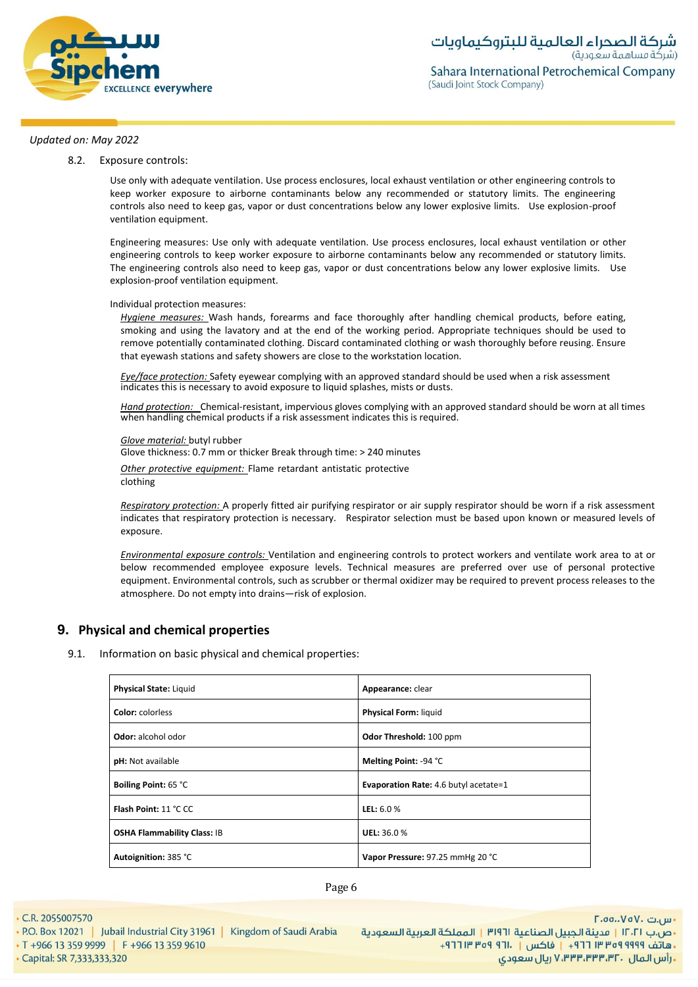

8.2. Exposure controls:

Use only with adequate ventilation. Use process enclosures, local exhaust ventilation or other engineering controls to keep worker exposure to airborne contaminants below any recommended or statutory limits. The engineering controls also need to keep gas, vapor or dust concentrations below any lower explosive limits. Use explosion-proof ventilation equipment.

Engineering measures: Use only with adequate ventilation. Use process enclosures, local exhaust ventilation or other engineering controls to keep worker exposure to airborne contaminants below any recommended or statutory limits. The engineering controls also need to keep gas, vapor or dust concentrations below any lower explosive limits. Use explosion-proof ventilation equipment.

Individual protection measures:

*Hygiene measures:* Wash hands, forearms and face thoroughly after handling chemical products, before eating, smoking and using the lavatory and at the end of the working period. Appropriate techniques should be used to remove potentially contaminated clothing. Discard contaminated clothing or wash thoroughly before reusing. Ensure that eyewash stations and safety showers are close to the workstation location*.*

*Eye/face protection:* Safety eyewear complying with an approved standard should be used when a risk assessment indicates this is necessary to avoid exposure to liquid splashes, mists or dusts.

*Hand protection:* Chemical-resistant, impervious gloves complying with an approved standard should be worn at all times when handling chemical products if a risk assessment indicates this is required.

*Glove material:* butyl rubber

Glove thickness: 0.7 mm or thicker Break through time: > 240 minutes

*Other protective equipment:* Flame retardant antistatic protective

clothing

*Respiratory protection:* A properly fitted air purifying respirator or air supply respirator should be worn if a risk assessment indicates that respiratory protection is necessary. Respirator selection must be based upon known or measured levels of exposure.

*Environmental exposure controls:* Ventilation and engineering controls to protect workers and ventilate work area to at or below recommended employee exposure levels. Technical measures are preferred over use of personal protective equipment. Environmental controls, such as scrubber or thermal oxidizer may be required to prevent process releases to the atmosphere. Do not empty into drains—risk of explosion.

# **9. Physical and chemical properties**

9.1. Information on basic physical and chemical properties:

| Physical State: Liquid             | Appearance: clear                            |  |  |
|------------------------------------|----------------------------------------------|--|--|
| <b>Color:</b> colorless            | <b>Physical Form: liquid</b>                 |  |  |
| <b>Odor:</b> alcohol odor          | Odor Threshold: 100 ppm                      |  |  |
| pH: Not available                  | Melting Point: -94 °C                        |  |  |
| <b>Boiling Point: 65 °C</b>        | <b>Evaporation Rate: 4.6 butyl acetate=1</b> |  |  |
| Flash Point: 11 °C CC              | <b>LEL:</b> $6.0%$                           |  |  |
| <b>OSHA Flammability Class: IB</b> | UEL: 36.0%                                   |  |  |
| Autoignition: 385 °C               | Vapor Pressure: 97.25 mmHg 20 °C             |  |  |

Page 6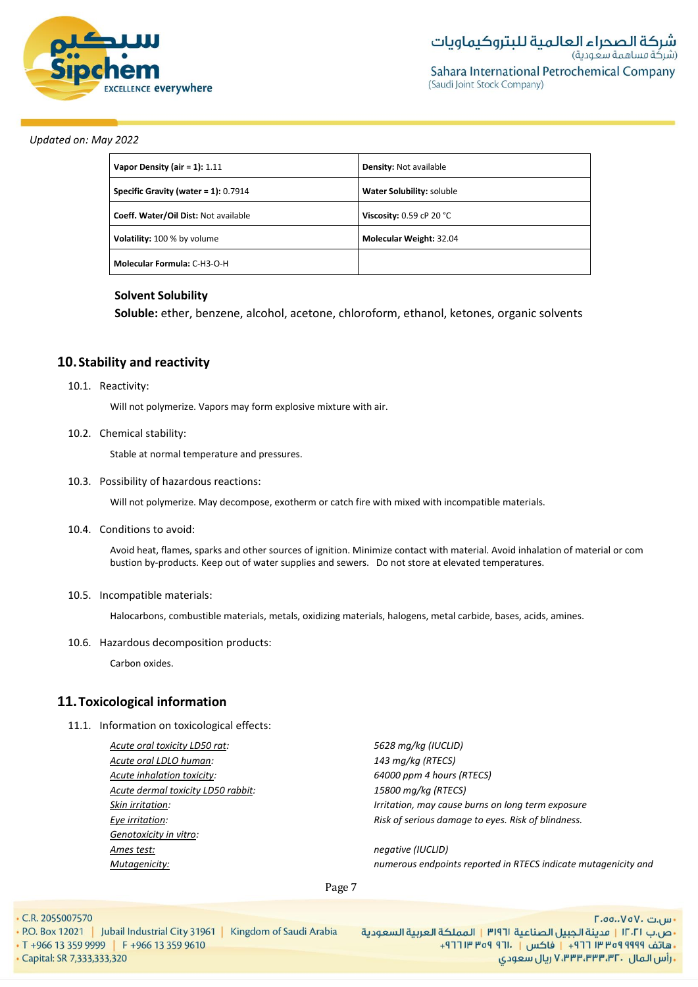

| Vapor Density (air = 1): $1.11$         | <b>Density: Not available</b> |
|-----------------------------------------|-------------------------------|
| Specific Gravity (water = $1$ ): 0.7914 | Water Solubility: soluble     |
| Coeff. Water/Oil Dist: Not available    | Viscosity: $0.59$ cP 20 °C    |
| <b>Volatility:</b> 100 % by volume      | Molecular Weight: 32.04       |
| Molecular Formula: C-H3-O-H             |                               |

# **Solvent Solubility**

**Soluble:** ether, benzene, alcohol, acetone, chloroform, ethanol, ketones, organic solvents

# **10.Stability and reactivity**

#### 10.1. Reactivity:

Will not polymerize. Vapors may form explosive mixture with air.

# 10.2. Chemical stability:

Stable at normal temperature and pressures.

10.3. Possibility of hazardous reactions:

Will not polymerize. May decompose, exotherm or catch fire with mixed with incompatible materials.

10.4. Conditions to avoid:

Avoid heat, flames, sparks and other sources of ignition. Minimize contact with material. Avoid inhalation of material or com bustion by-products. Keep out of water supplies and sewers. Do not store at elevated temperatures.

#### 10.5. Incompatible materials:

Halocarbons, combustible materials, metals, oxidizing materials, halogens, metal carbide, bases, acids, amines.

10.6. Hazardous decomposition products:

Carbon oxides.

# **11.Toxicological information**

11.1. Information on toxicological effects:

*Acute oral toxicity LD50 rat: 5628 mg/kg (IUCLID) Acute oral LDLO human: 143 mg/kg (RTECS) Acute inhalation toxicity: 64000 ppm 4 hours (RTECS) Acute dermal toxicity LD50 rabbit: 15800 mg/kg (RTECS) Genotoxicity in vitro: Ames test: negative (IUCLID)*

*Skin irritation: Irritation, may cause burns on long term exposure Eye irritation: Risk of serious damage to eyes. Risk of blindness.*

*Mutagenicity: numerous endpoints reported in RTECS indicate mutagenicity and*

#### Page 7

- C.R. 2055007570
- P.O. Box 12021 | Jubail Industrial City 31961 | Kingdom of Saudi Arabia • T +966 13 359 9999 F +966 13 359 9610 · Capital: SR 7,333,333,320

- س.ت ۷۵۷۰، ۲.۵۵.۰۷۵ •ص.ب ١٢٠٢١ | مدينة الجبيل الصناعية ٣١٩٦١ | المملكة العربية السعودية ريال سعودي, ۷٬۳۳۳٬۳۳۳٬۳۲۰ ريال سعودي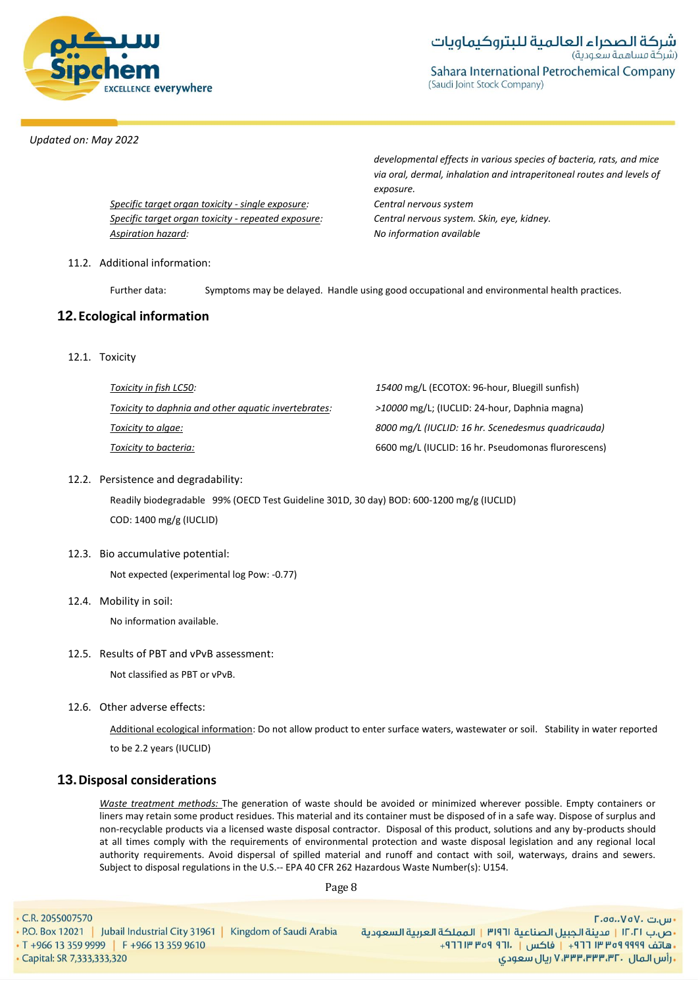

(Saudi Joint Stock Company)

#### *Updated on: May 2022*

*Specific target organ toxicity - single exposure: Central nervous system Specific target organ toxicity* - *repeated exposure: Central nervous system. Skin, eye, kidney. Aspiration hazard: No information available*

*developmental effects in various species of bacteria, rats, and mice via oral, dermal, inhalation and intraperitoneal routes and levels of exposure.*

# 11.2. Additional information:

Further data: Symptoms may be delayed. Handle using good occupational and environmental health practices.

# **12.Ecological information**

12.1. Toxicity

| Toxicity in fish LC50:                               | 15400 mg/L (ECOTOX: 96-hour, Bluegill sunfish)      |
|------------------------------------------------------|-----------------------------------------------------|
| Toxicity to daphnia and other aquatic invertebrates: | >10000 mg/L; (IUCLID: 24-hour, Daphnia magna)       |
| Toxicity to algae:                                   | 8000 mg/L (IUCLID: 16 hr. Scenedesmus quadricauda)  |
| Toxicity to bacteria:                                | 6600 mg/L (IUCLID: 16 hr. Pseudomonas flurorescens) |

# 12.2. Persistence and degradability:

Readily biodegradable 99% (OECD Test Guideline 301D, 30 day) BOD: 600-1200 mg/g (IUCLID) COD: 1400 mg/g (IUCLID)

#### 12.3. Bio accumulative potential:

Not expected (experimental log Pow: -0.77)

12.4. Mobility in soil:

No information available.

#### 12.5. Results of PBT and vPvB assessment:

Not classified as PBT or vPvB.

12.6. Other adverse effects:

Additional ecological information: Do not allow product to enter surface waters, wastewater or soil. Stability in water reported to be 2.2 years (IUCLID)

# **13.Disposal considerations**

*Waste treatment methods:* The generation of waste should be avoided or minimized wherever possible. Empty containers or liners may retain some product residues. This material and its container must be disposed of in a safe way. Dispose of surplus and non-recyclable products via a licensed waste disposal contractor. Disposal of this product, solutions and any by-products should at all times comply with the requirements of environmental protection and waste disposal legislation and any regional local authority requirements. Avoid dispersal of spilled material and runoff and contact with soil, waterways, drains and sewers. Subject to disposal regulations in the U.S.-- EPA 40 CFR 262 Hazardous Waste Number(s): U154.

Page 8

• C.R. 2055007570 • P.O. Box 12021 | Jubail Industrial City 31961 | Kingdom of Saudi Arabia • T +966 13 359 9999 F +966 13 359 9610

- س.ت ۷۵۷۰، ۲.۵۵.۰۷۵ •ص.ب ١٢٠٢١ | مدينة الجبيل الصناعية ٣١٩٦١ | المملكة العربية السعودية +هاتف ٩٩٩٩ ٩٩٩ ٣٣ ٣ ٢٦٦ | فاكس | ١٣٠١ ٩٦٩ ١٣ ٢٦٩ **. رأس المال ۷٬۳۳۳٬۳۳۳٬۳۲۰ ریال سعودی** 

· Capital: SR 7,333,333,320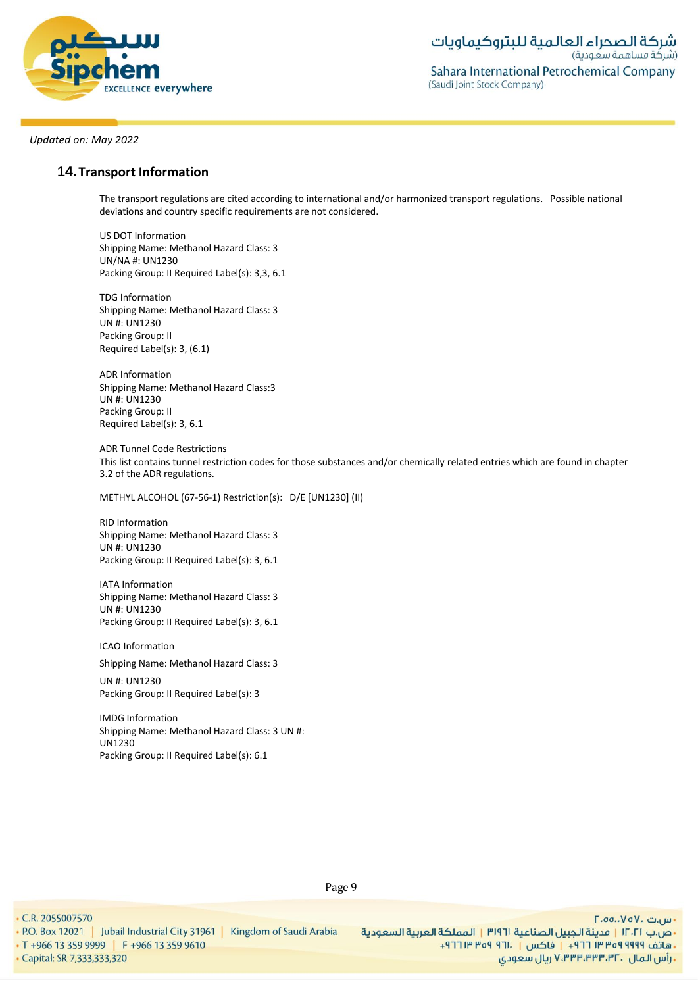

# **14.Transport Information**

The transport regulations are cited according to international and/or harmonized transport regulations. Possible national deviations and country specific requirements are not considered.

US DOT Information Shipping Name: Methanol Hazard Class: 3 UN/NA #: UN1230 Packing Group: II Required Label(s): 3,3, 6.1

TDG Information Shipping Name: Methanol Hazard Class: 3 UN #: UN1230 Packing Group: II Required Label(s): 3, (6.1)

ADR Information Shipping Name: Methanol Hazard Class:3 UN #: UN1230 Packing Group: II Required Label(s): 3, 6.1

ADR Tunnel Code Restrictions This list contains tunnel restriction codes for those substances and/or chemically related entries which are found in chapter 3.2 of the ADR regulations.

METHYL ALCOHOL (67-56-1) Restriction(s): D/E [UN1230] (II)

RID Information Shipping Name: Methanol Hazard Class: 3 UN #: UN1230 Packing Group: II Required Label(s): 3, 6.1

IATA Information Shipping Name: Methanol Hazard Class: 3 UN #: UN1230 Packing Group: II Required Label(s): 3, 6.1

ICAO Information

Shipping Name: Methanol Hazard Class: 3

UN #: UN1230 Packing Group: II Required Label(s): 3

IMDG Information Shipping Name: Methanol Hazard Class: 3 UN #: UN1230 Packing Group: II Required Label(s): 6.1

Page 9

. C.R. 2055007570

• P.O. Box 12021 | Jubail Industrial City 31961 | Kingdom of Saudi Arabia

• T +966 13 359 9999 | F +966 13 359 9610 · Capital: SR 7,333,333,320

- س.ت ۷۵۷۰، ۲.۵۵.۰۷۵ •ص.ب ١٢٠٢١ | مدينة الجبيل الصناعية ٣١٩٦١ | المملكة العربية السعودية ريال سعودي, ۷٬۳۳۳٬۳۳۳٬۳۲۰ ريال سعودي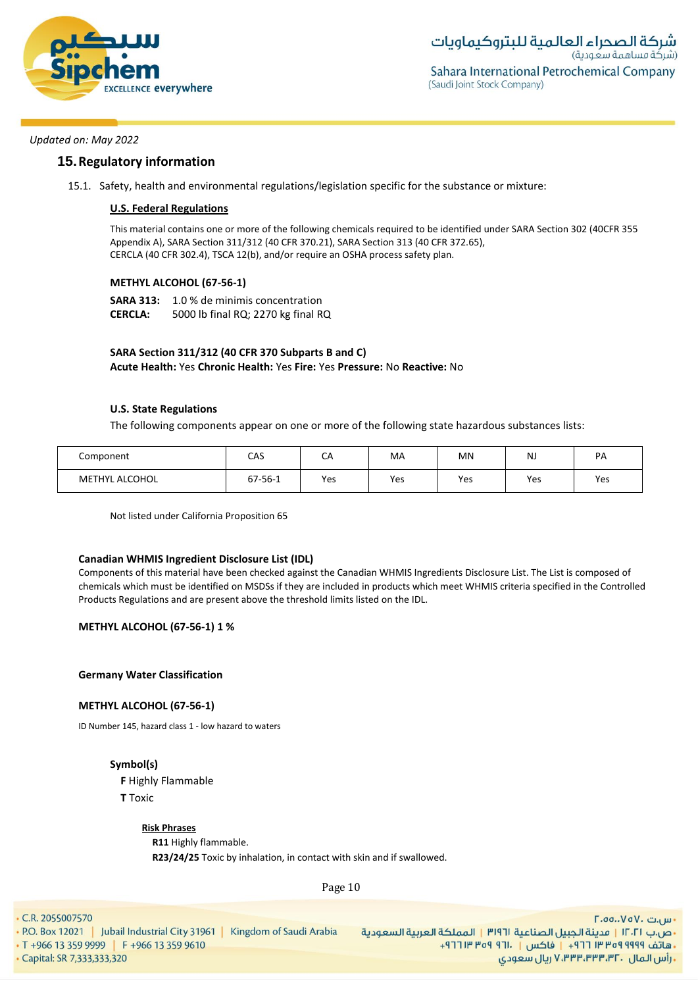

# **15.Regulatory information**

15.1. Safety, health and environmental regulations/legislation specific for the substance or mixture:

# **U.S. Federal Regulations**

This material contains one or more of the following chemicals required to be identified under SARA Section 302 (40CFR 355 Appendix A), SARA Section 311/312 (40 CFR 370.21), SARA Section 313 (40 CFR 372.65), CERCLA (40 CFR 302.4), TSCA 12(b), and/or require an OSHA process safety plan.

# **METHYL ALCOHOL (67-56-1)**

**SARA 313:** 1.0 % de minimis concentration **CERCLA:** 5000 lb final RQ; 2270 kg final RQ

# **SARA Section 311/312 (40 CFR 370 Subparts B and C)**

**Acute Health:** Yes **Chronic Health:** Yes **Fire:** Yes **Pressure:** No **Reactive:** No

# **U.S. State Regulations**

The following components appear on one or more of the following state hazardous substances lists:

| Component             | CAS     | CA  | MA  | MN  | N.  | PА  |
|-----------------------|---------|-----|-----|-----|-----|-----|
| <b>METHYL ALCOHOL</b> | 67-56-1 | Yes | Yes | Yes | Yes | Yes |

Not listed under California Proposition 65

#### **Canadian WHMIS Ingredient Disclosure List (IDL)**

Components of this material have been checked against the Canadian WHMIS Ingredients Disclosure List. The List is composed of chemicals which must be identified on MSDSs if they are included in products which meet WHMIS criteria specified in the Controlled Products Regulations and are present above the threshold limits listed on the IDL.

**METHYL ALCOHOL (67-56-1) 1 %**

**Germany Water Classification**

# **METHYL ALCOHOL (67-56-1)**

ID Number 145, hazard class 1 - low hazard to waters

# **Symbol(s)**

**F** Highly Flammable **T** Toxic

#### **Risk Phrases**

**R11** Highly flammable. **R23/24/25** Toxic by inhalation, in contact with skin and if swallowed.

Page 10

• C.R. 2055007570

· Capital: SR 7,333,333,320

• P.O. Box 12021 | Jubail Industrial City 31961 | Kingdom of Saudi Arabia • T +966 13 359 9999 F +966 13 359 9610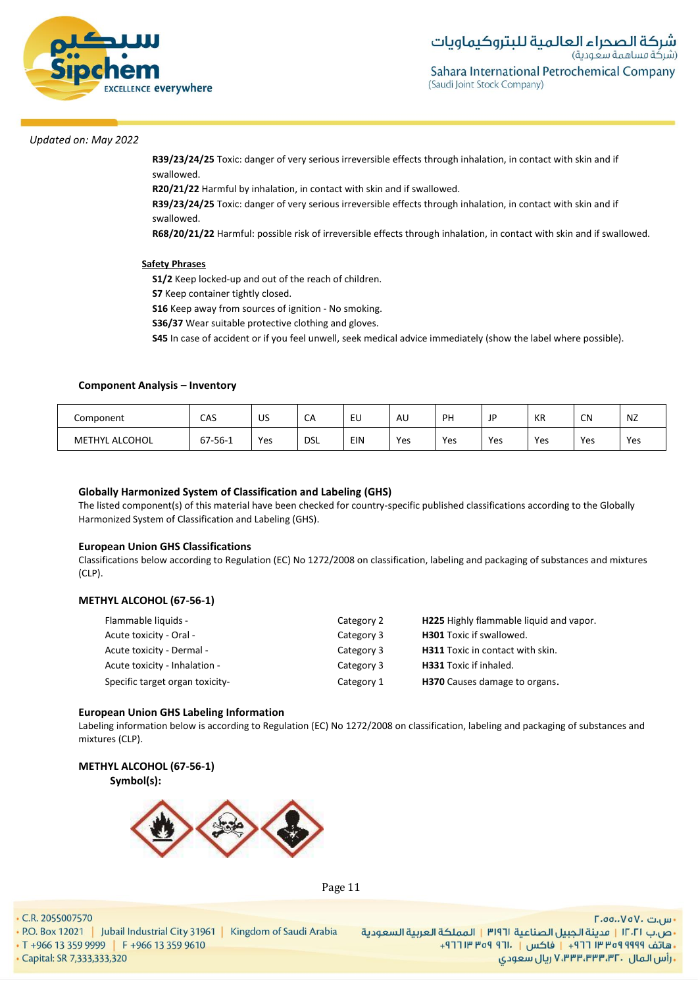

**R39/23/24/25** Toxic: danger of very serious irreversible effects through inhalation, in contact with skin and if swallowed.

**R20/21/22** Harmful by inhalation, in contact with skin and if swallowed.

**R39/23/24/25** Toxic: danger of very serious irreversible effects through inhalation, in contact with skin and if swallowed.

**R68/20/21/22** Harmful: possible risk of irreversible effects through inhalation, in contact with skin and if swallowed.

#### **Safety Phrases**

**S1/2** Keep locked-up and out of the reach of children.

**S7** Keep container tightly closed.

**S16** Keep away from sources of ignition - No smoking.

**S36/37** Wear suitable protective clothing and gloves.

**S45** In case of accident or if you feel unwell, seek medical advice immediately (show the label where possible).

#### **Component Analysis – Inventory**

| Component             | CAS     | US  | $\sim$<br>СA | EU  | AU  | PH  | ID<br>◡ | КR  | CN  | NZ  |
|-----------------------|---------|-----|--------------|-----|-----|-----|---------|-----|-----|-----|
| <b>METHYL ALCOHOL</b> | 67-56-1 | Yes | <b>DSL</b>   | EIN | Yes | Yes | Yes     | Yes | Yes | Yes |

# **Globally Harmonized System of Classification and Labeling (GHS)**

The listed component(s) of this material have been checked for country-specific published classifications according to the Globally Harmonized System of Classification and Labeling (GHS).

#### **European Union GHS Classifications**

Classifications below according to Regulation (EC) No 1272/2008 on classification, labeling and packaging of substances and mixtures (CLP).

#### **METHYL ALCOHOL (67-56-1)**

| Flammable liquids -             | Category 2 | H225 Highly flammable liquid and vapor. |
|---------------------------------|------------|-----------------------------------------|
| Acute toxicity - Oral -         | Category 3 | <b>H301</b> Toxic if swallowed.         |
| Acute toxicity - Dermal -       | Category 3 | H311 Toxic in contact with skin.        |
| Acute toxicity - Inhalation -   | Category 3 | <b>H331</b> Toxic if inhaled.           |
| Specific target organ toxicity- | Category 1 | H370 Causes damage to organs.           |

#### **European Union GHS Labeling Information**

Labeling information below is according to Regulation (EC) No 1272/2008 on classification, labeling and packaging of substances and mixtures (CLP).

# **METHYL ALCOHOL (67-56-1)**

**Symbol(s):**



Page 11

#### • C.R. 2055007570

• P.O. Box 12021 | Jubail Industrial City 31961 | Kingdom of Saudi Arabia

• T +966 13 359 9999 F +966 13 359 9610

· Capital: SR 7,333,333,320

- س.ت ۷۵۷۰، ۲.۵۵.۰۷۵ •ص.ب ١٢٠٢١ | مدينة الجبيل الصناعية ٣١٩٦١ | المملكة العربية السعودية +هاتف ٩٩٩٩ ٩٥٩ ٣٣ ٣ ٢٦١ - إ فاكس | . ١٣ ٢٥٩ ٣ ١٣ ٢٦٢ ريال سعودي, ۷٬۳۳۳٬۳۳۳٬۳۲۰ ريال سعودي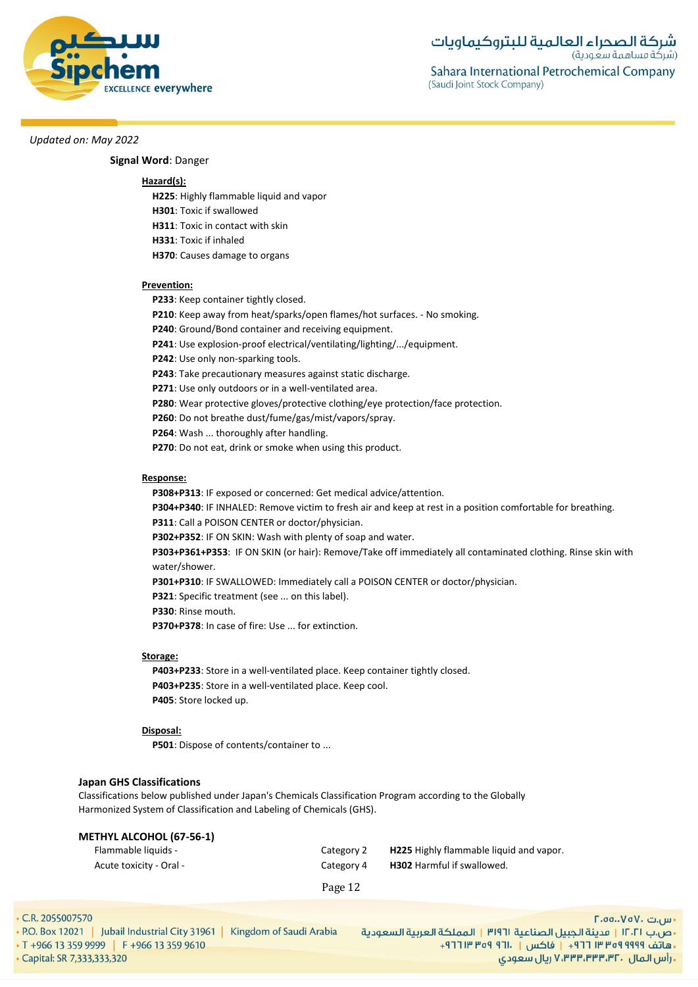

**Signal Word**: Danger

#### **Hazard(s):**

**H225**: Highly flammable liquid and vapor

**H301**: Toxic if swallowed

**H311**: Toxic in contact with skin

- **H331**: Toxic if inhaled
- **H370**: Causes damage to organs

#### **Prevention:**

- **P233**: Keep container tightly closed.
- **P210**: Keep away from heat/sparks/open flames/hot surfaces. No smoking.
- **P240**: Ground/Bond container and receiving equipment.
- **P241**: Use explosion-proof electrical/ventilating/lighting/.../equipment.
- **P242**: Use only non-sparking tools.
- **P243**: Take precautionary measures against static discharge.
- **P271**: Use only outdoors or in a well-ventilated area.
- **P280**: Wear protective gloves/protective clothing/eye protection/face protection.
- **P260**: Do not breathe dust/fume/gas/mist/vapors/spray.
- **P264**: Wash ... thoroughly after handling.
- **P270**: Do not eat, drink or smoke when using this product.

#### **Response:**

**P308+P313**: IF exposed or concerned: Get medical advice/attention.

**P304+P340**: IF INHALED: Remove victim to fresh air and keep at rest in a position comfortable for breathing.

**P311**: Call a POISON CENTER or doctor/physician.

**P302+P352**: IF ON SKIN: Wash with plenty of soap and water.

**P303+P361+P353**: IF ON SKIN (or hair): Remove/Take off immediately all contaminated clothing. Rinse skin with water/shower.

**P301+P310**: IF SWALLOWED: Immediately call a POISON CENTER or doctor/physician.

**P321**: Specific treatment (see ... on this label).

**P330**: Rinse mouth.

**P370+P378**: In case of fire: Use ... for extinction.

#### **Storage:**

**P403+P233**: Store in a well-ventilated place. Keep container tightly closed. **P403+P235**: Store in a well-ventilated place. Keep cool. **P405**: Store locked up.

#### **Disposal:**

**P501**: Dispose of contents/container to ...

#### **Japan GHS Classifications**

Classifications below published under Japan's Chemicals Classification Program according to the Globally Harmonized System of Classification and Labeling of Chemicals (GHS).

#### **METHYL ALCOHOL (67-56-1)**

| Flammable liquids -     | Category 2 | <b>H225</b> Highly flammable liquid and vapor. |
|-------------------------|------------|------------------------------------------------|
| - Acute toxicity - Oral | Category 4 | <b>H302</b> Harmful if swallowed.              |

Page 12

• C.R. 2055007570

|                             | • P.O. Box 12021   Jubail Industrial City 31961  <br>Kingdom of Saudi Arabia |  |  |  |  |
|-----------------------------|------------------------------------------------------------------------------|--|--|--|--|
|                             | $\cdot$ T +966 13 359 9999 F +966 13 359 9610                                |  |  |  |  |
| • Capital: SR 7,333,333,320 |                                                                              |  |  |  |  |

<mark>۰</mark> س.ت ۷۵۷۰-۲.۰۵ •ص.ب ١٢٠٢١ | مدينة الجبيل الصناعية ٣١٩٦١ | المملكة العربية السعودية -هاتف ٩٩٩٩ ٩٩٩٩ ٣٥٣ ٢١٢ + | فاكس | . ١٣١١ ٩٥٩ ٣١٢ + **, رأس المال ۷٬۳۳۳٬۳۳۰٬۳۲۰ ریال سعودی**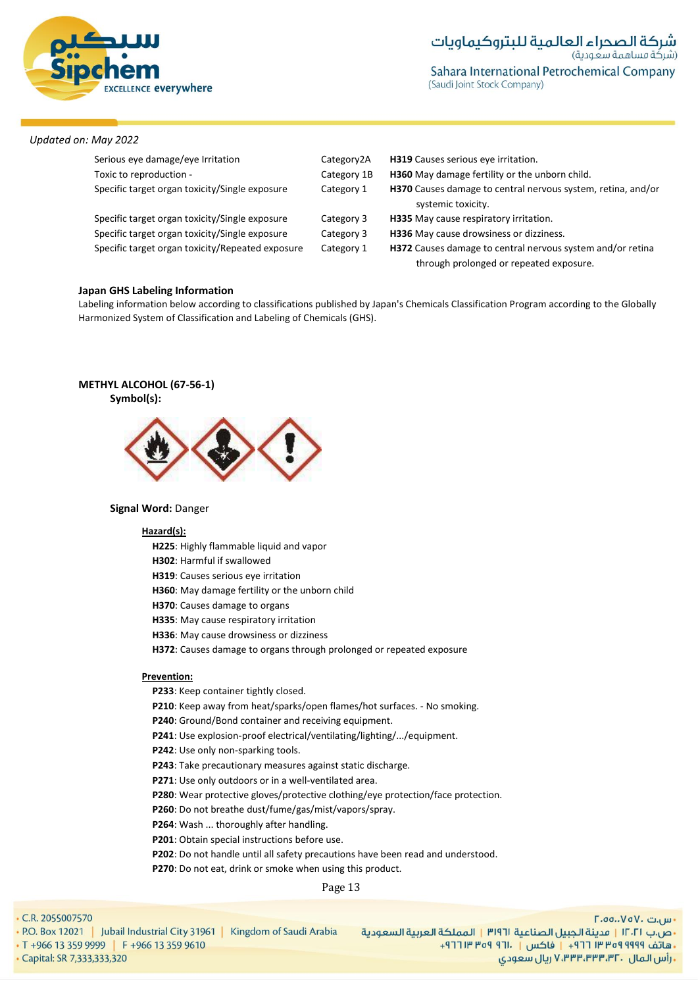

Sahara International Petrochemical Company (Saudi Joint Stock Company)

# *Updated on: May 2022*

| Serious eye damage/eye Irritation                | Category2A  | H319 Causes serious eye irritation.                                                                   |  |
|--------------------------------------------------|-------------|-------------------------------------------------------------------------------------------------------|--|
| Toxic to reproduction -                          | Category 1B | H360 May damage fertility or the unborn child.                                                        |  |
| Specific target organ toxicity/Single exposure   | Category 1  | H370 Causes damage to central nervous system, retina, and/or<br>systemic toxicity.                    |  |
| Specific target organ toxicity/Single exposure   | Category 3  | H335 May cause respiratory irritation.                                                                |  |
| Specific target organ toxicity/Single exposure   | Category 3  | H336 May cause drowsiness or dizziness.                                                               |  |
| Specific target organ toxicity/Repeated exposure | Category 1  | H372 Causes damage to central nervous system and/or retina<br>through prolonged or repeated exposure. |  |

#### **Japan GHS Labeling Information**

Labeling information below according to classifications published by Japan's Chemicals Classification Program according to the Globally Harmonized System of Classification and Labeling of Chemicals (GHS).

# **METHYL ALCOHOL (67-56-1)**





# **Signal Word:** Danger

#### **Hazard(s):**

- **H225**: Highly flammable liquid and vapor
- **H302**: Harmful if swallowed
- **H319**: Causes serious eye irritation
- **H360**: May damage fertility or the unborn child
- **H370**: Causes damage to organs
- **H335**: May cause respiratory irritation
- **H336**: May cause drowsiness or dizziness
- **H372**: Causes damage to organs through prolonged or repeated exposure

#### **Prevention:**

- **P233**: Keep container tightly closed.
- **P210**: Keep away from heat/sparks/open flames/hot surfaces. No smoking.
- **P240**: Ground/Bond container and receiving equipment.
- **P241**: Use explosion-proof electrical/ventilating/lighting/.../equipment.
- **P242**: Use only non-sparking tools.
- **P243**: Take precautionary measures against static discharge.
- **P271**: Use only outdoors or in a well-ventilated area.
- **P280**: Wear protective gloves/protective clothing/eye protection/face protection.
- **P260**: Do not breathe dust/fume/gas/mist/vapors/spray.
- **P264**: Wash ... thoroughly after handling.
- **P201**: Obtain special instructions before use.
- **P202**: Do not handle until all safety precautions have been read and understood.
- **P270**: Do not eat, drink or smoke when using this product.

Page 13

- P.O. Box 12021 | Jubail Industrial City 31961 | Kingdom of Saudi Arabia • T +966 13 359 9999 | F +966 13 359 9610
- · Capital: SR 7,333,333,320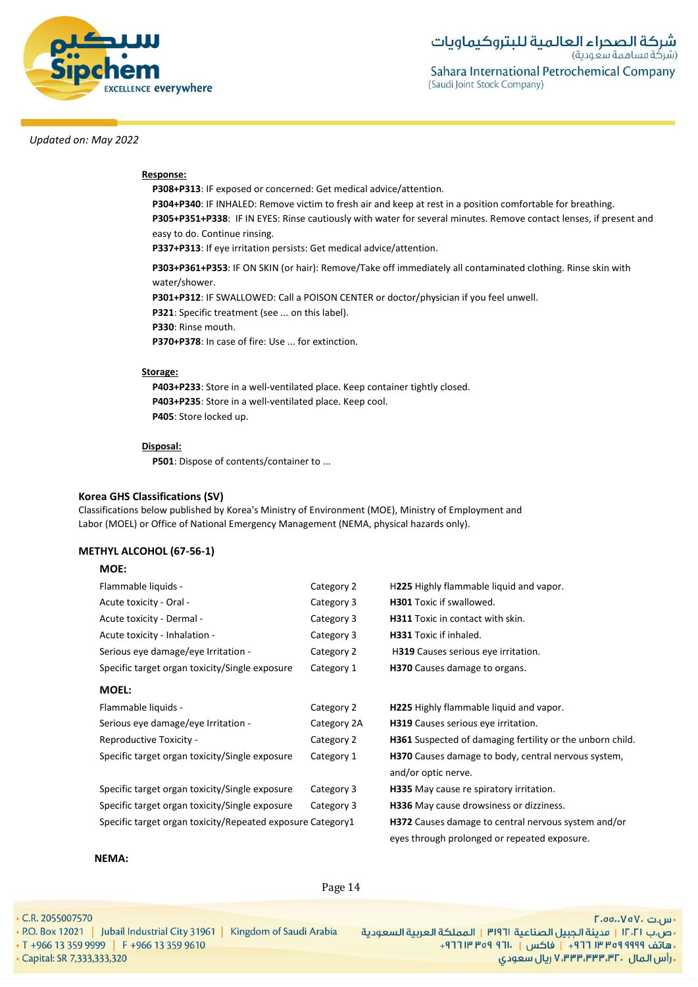

# **Response:**

**P308+P313**: IF exposed or concerned: Get medical advice/attention. **P304+P340**: IF INHALED: Remove victim to fresh air and keep at rest in a position comfortable for breathing. **P305+P351+P338**: IF IN EYES: Rinse cautiously with water for several minutes. Remove contact lenses, if present and easy to do. Continue rinsing. **P337+P313**: If eye irritation persists: Get medical advice/attention.

**P303+P361+P353**: IF ON SKIN (or hair): Remove/Take off immediately all contaminated clothing. Rinse skin with water/shower.

**P301+P312**: IF SWALLOWED: Call a POISON CENTER or doctor/physician if you feel unwell.

**P321**: Specific treatment (see ... on this label).

**P330**: Rinse mouth.

**P370+P378**: In case of fire: Use ... for extinction.

#### **Storage:**

**P403+P233**: Store in a well-ventilated place. Keep container tightly closed. **P403+P235**: Store in a well-ventilated place. Keep cool. **P405**: Store locked up.

#### **Disposal:**

**P501**: Dispose of contents/container to ...

#### **Korea GHS Classifications (SV)**

Classifications below published by Korea's Ministry of Environment (MOE), Ministry of Employment and Labor (MOEL) or Office of National Emergency Management (NEMA, physical hazards only).

#### **METHYL ALCOHOL (67-56-1)**

# **MOE:**

| Flammable liquids -                                        | Category 2  | H225 Highly flammable liquid and vapor.                                    |
|------------------------------------------------------------|-------------|----------------------------------------------------------------------------|
| Acute toxicity - Oral -                                    | Category 3  | <b>H301</b> Toxic if swallowed.                                            |
| Acute toxicity - Dermal -                                  | Category 3  | <b>H311</b> Toxic in contact with skin.                                    |
| Acute toxicity - Inhalation -                              | Category 3  | H331 Toxic if inhaled.                                                     |
| Serious eye damage/eye Irritation -                        | Category 2  | H319 Causes serious eye irritation.                                        |
| Specific target organ toxicity/Single exposure             | Category 1  | H370 Causes damage to organs.                                              |
| <b>MOEL:</b>                                               |             |                                                                            |
| Flammable liquids -                                        | Category 2  | H225 Highly flammable liquid and vapor.                                    |
| Serious eye damage/eye Irritation -                        | Category 2A | H319 Causes serious eye irritation.                                        |
| Reproductive Toxicity -                                    | Category 2  | H361 Suspected of damaging fertility or the unborn child.                  |
| Specific target organ toxicity/Single exposure             | Category 1  | H370 Causes damage to body, central nervous system,<br>and/or optic nerve. |
| Specific target organ toxicity/Single exposure             | Category 3  | <b>H335</b> May cause re spiratory irritation.                             |
| Specific target organ toxicity/Single exposure             | Category 3  | H336 May cause drowsiness or dizziness.                                    |
| Specific target organ toxicity/Repeated exposure Category1 |             | <b>H372</b> Causes damage to central nervous system and/or                 |
|                                                            |             | eyes through prolonged or repeated exposure.                               |

#### **NEMA:**

Page 14

• C.R. 2055007570

- P.O. Box 12021 | Jubail Industrial City 31961 | Kingdom of Saudi Arabia
- T +966 13 359 9999 | F +966 13 359 9610 · Capital: SR 7,333,333,320

- س.ت ۷۵۷۰، ۲.۵۵.۰۷۵ •ص.ب ١٢٠٢١ | مدينة الجبيل الصناعية ٣١٩٦١ | المملكة العربية السعودية - هاتف ٩٩٩٩ ٩٥٩ ٣٣ ٣ ٢٦١ - إ فاكس | . ١٣ ٢٥٩ ٣ ١٣ ٢٦٢ ريال سعودي, ۷٬۳۳۳٬۳۳۳٬۳۲۰ ريال سعودي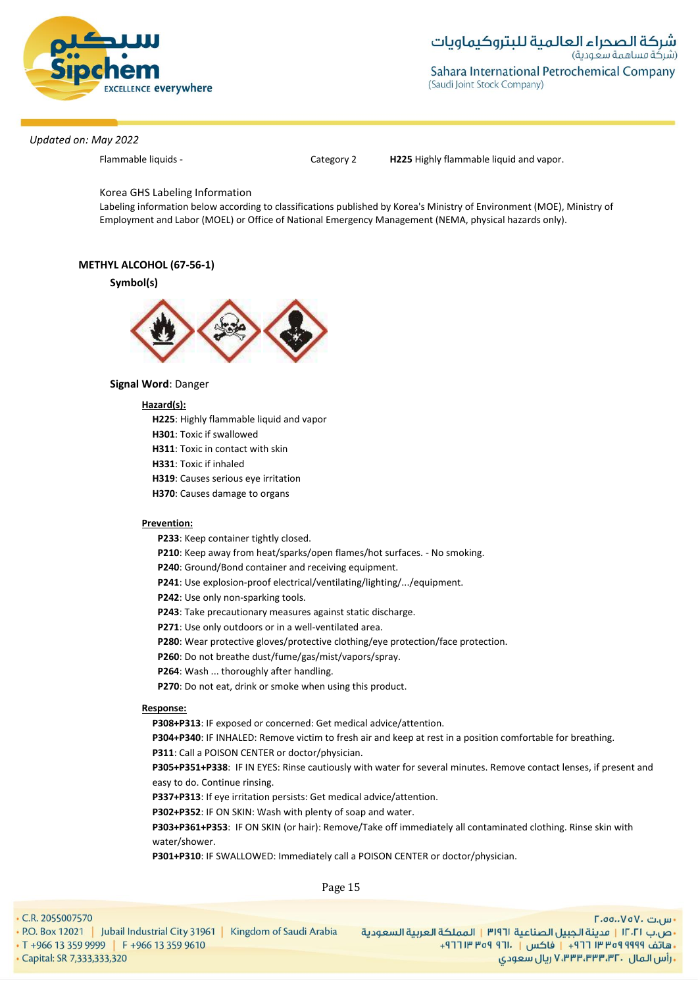

Flammable liquids - Category 2 **H225** Highly flammable liquid and vapor.

### Korea GHS Labeling Information

Labeling information below according to classifications published by Korea's Ministry of Environment (MOE), Ministry of Employment and Labor (MOEL) or Office of National Emergency Management (NEMA, physical hazards only).

# **METHYL ALCOHOL (67-56-1)**

#### **Symbol(s)**



# **Signal Word**: Danger

# **Hazard(s):**

**H225**: Highly flammable liquid and vapor

**H301**: Toxic if swallowed

**H311**: Toxic in contact with skin

**H331**: Toxic if inhaled

**H319**: Causes serious eye irritation

**H370**: Causes damage to organs

#### **Prevention:**

**P233**: Keep container tightly closed.

**P210**: Keep away from heat/sparks/open flames/hot surfaces. - No smoking.

**P240**: Ground/Bond container and receiving equipment.

**P241**: Use explosion-proof electrical/ventilating/lighting/.../equipment.

**P242**: Use only non-sparking tools.

- **P243**: Take precautionary measures against static discharge.
- **P271**: Use only outdoors or in a well-ventilated area.
- **P280**: Wear protective gloves/protective clothing/eye protection/face protection.
- **P260**: Do not breathe dust/fume/gas/mist/vapors/spray.
- **P264**: Wash ... thoroughly after handling.
- **P270**: Do not eat, drink or smoke when using this product.

#### **Response:**

**P308+P313**: IF exposed or concerned: Get medical advice/attention.

**P304+P340**: IF INHALED: Remove victim to fresh air and keep at rest in a position comfortable for breathing. **P311**: Call a POISON CENTER or doctor/physician.

**P305+P351+P338**: IF IN EYES: Rinse cautiously with water for several minutes. Remove contact lenses, if present and easy to do. Continue rinsing.

**P337+P313**: If eye irritation persists: Get medical advice/attention.

**P302+P352**: IF ON SKIN: Wash with plenty of soap and water.

**P303+P361+P353**: IF ON SKIN (or hair): Remove/Take off immediately all contaminated clothing. Rinse skin with water/shower.

**P301+P310**: IF SWALLOWED: Immediately call a POISON CENTER or doctor/physician.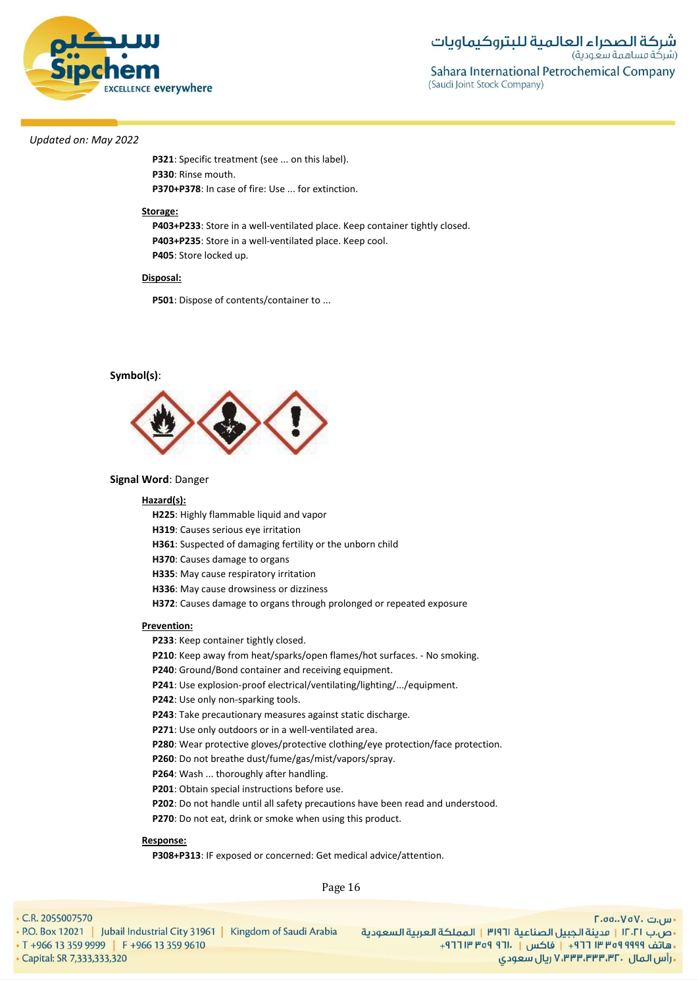

**P321**: Specific treatment (see ... on this label). **P330**: Rinse mouth. **P370+P378**: In case of fire: Use ... for extinction.

#### **Storage:**

**P403+P233**: Store in a well-ventilated place. Keep container tightly closed. **P403+P235**: Store in a well-ventilated place. Keep cool. **P405**: Store locked up.

#### **Disposal:**

**P501**: Dispose of contents/container to ...

#### **Symbol(s)**:



#### **Signal Word**: Danger

#### **Hazard(s):**

**H225**: Highly flammable liquid and vapor

**H319**: Causes serious eye irritation

**H361**: Suspected of damaging fertility or the unborn child

**H370**: Causes damage to organs

**H335**: May cause respiratory irritation

**H336**: May cause drowsiness or dizziness

**H372**: Causes damage to organs through prolonged or repeated exposure

#### **Prevention:**

**P233**: Keep container tightly closed.

**P210**: Keep away from heat/sparks/open flames/hot surfaces. - No smoking.

**P240**: Ground/Bond container and receiving equipment.

**P241**: Use explosion-proof electrical/ventilating/lighting/.../equipment.

**P242**: Use only non-sparking tools.

**P243**: Take precautionary measures against static discharge.

**P271**: Use only outdoors or in a well-ventilated area.

**P280**: Wear protective gloves/protective clothing/eye protection/face protection.

**P260**: Do not breathe dust/fume/gas/mist/vapors/spray.

**P264**: Wash ... thoroughly after handling.

**P201**: Obtain special instructions before use.

**P202**: Do not handle until all safety precautions have been read and understood.

**P270**: Do not eat, drink or smoke when using this product.

#### **Response:**

**P308+P313**: IF exposed or concerned: Get medical advice/attention.

Page 16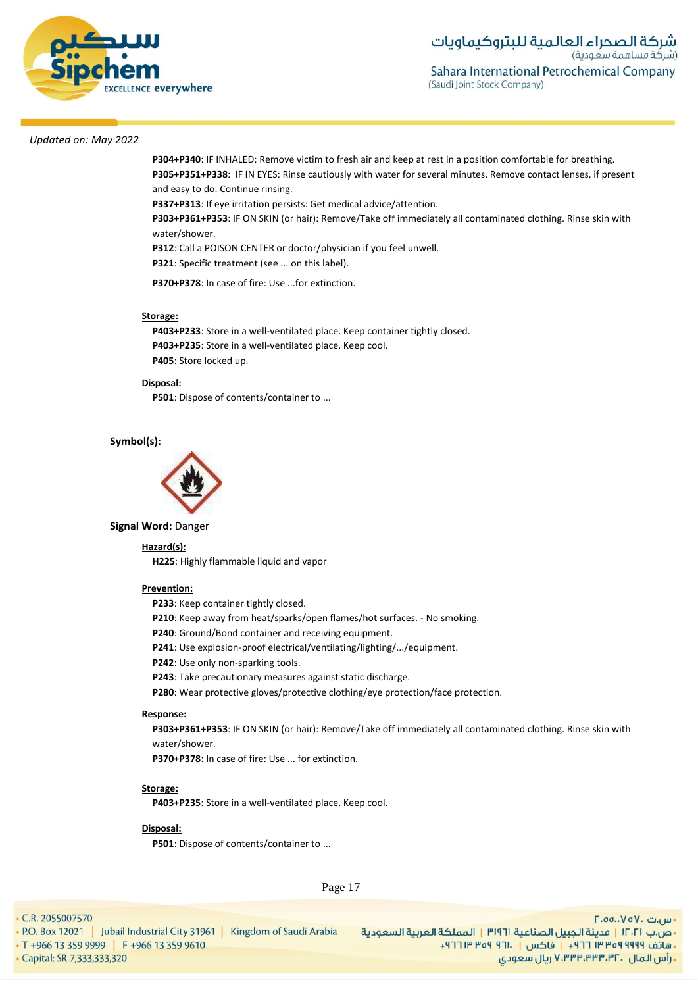

**P304+P340**: IF INHALED: Remove victim to fresh air and keep at rest in a position comfortable for breathing. **P305+P351+P338**: IF IN EYES: Rinse cautiously with water for several minutes. Remove contact lenses, if present and easy to do. Continue rinsing.

**P337+P313**: If eye irritation persists: Get medical advice/attention.

**P303+P361+P353**: IF ON SKIN (or hair): Remove/Take off immediately all contaminated clothing. Rinse skin with water/shower.

**P312**: Call a POISON CENTER or doctor/physician if you feel unwell. **P321**: Specific treatment (see ... on this label).

**P370+P378**: In case of fire: Use ...for extinction.

#### **Storage:**

**P403+P233**: Store in a well-ventilated place. Keep container tightly closed. **P403+P235**: Store in a well-ventilated place. Keep cool. **P405**: Store locked up.

#### **Disposal:**

**P501**: Dispose of contents/container to ...

# **Symbol(s)**:



**Signal Word:** Danger

#### **Hazard(s):**

**H225**: Highly flammable liquid and vapor

#### **Prevention:**

**P233**: Keep container tightly closed.

**P210**: Keep away from heat/sparks/open flames/hot surfaces. - No smoking.

**P240**: Ground/Bond container and receiving equipment.

**P241**: Use explosion-proof electrical/ventilating/lighting/.../equipment.

**P242**: Use only non-sparking tools.

**P243**: Take precautionary measures against static discharge.

**P280**: Wear protective gloves/protective clothing/eye protection/face protection.

#### **Response:**

**P303+P361+P353**: IF ON SKIN (or hair): Remove/Take off immediately all contaminated clothing. Rinse skin with water/shower.

**P370+P378**: In case of fire: Use ... for extinction.

#### **Storage:**

**P403+P235**: Store in a well-ventilated place. Keep cool.

#### **Disposal:**

**P501**: Dispose of contents/container to ...

Page 17

• C.R. 2055007570

· Capital: SR 7,333,333,320

• P.O. Box 12021 | Jubail Industrial City 31961 | Kingdom of Saudi Arabia • T +966 13 359 9999 F +966 13 359 9610

<mark>۰</mark> س.ت ۷۵۷۰-۲.۰۵ •ص.ب ١٢٠٢١ | مدينة الجبيل الصناعية ١٣١٩٦ | المملكة العربية السعودية -هاتف ٩٩٩٩ ٩٩٩٩ ٣٥٣ ٢١٢ + | فاكس | . ١٣١١ ٩٥٩ ٣١٢ + **, رأس المال ۷٬۳۳۳٬۳۳۰٬۳۲۰ ریال سعودی**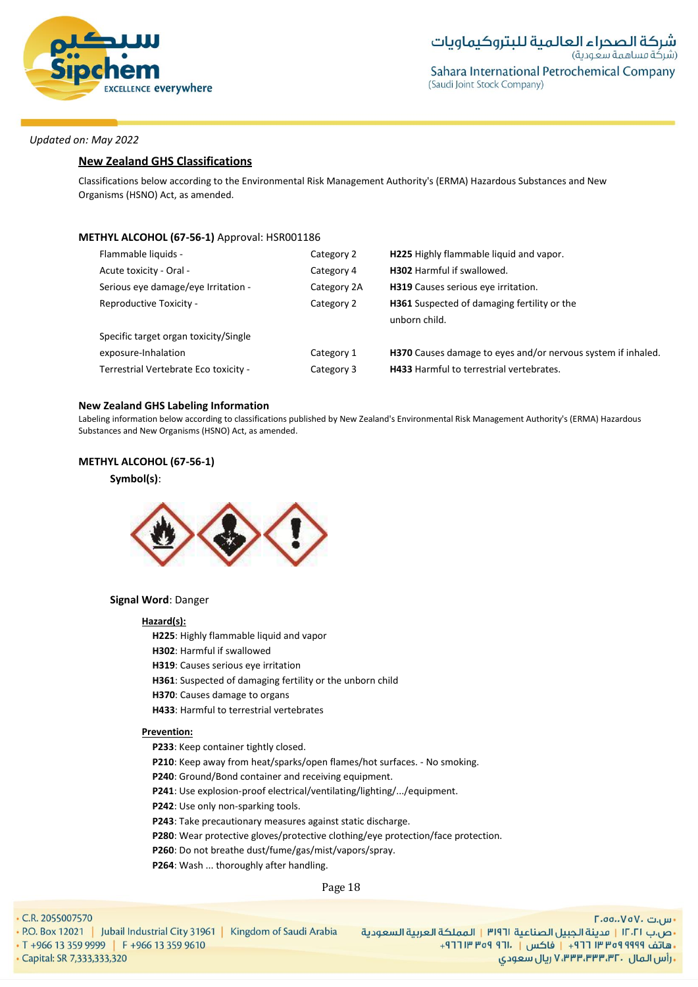

# **New Zealand GHS Classifications**

Classifications below according to the Environmental Risk Management Authority's (ERMA) Hazardous Substances and New Organisms (HSNO) Act, as amended.

# **METHYL ALCOHOL (67-56-1)** Approval: HSR001186

| Flammable liquids -                   | Category 2  | H225 Highly flammable liquid and vapor.                      |
|---------------------------------------|-------------|--------------------------------------------------------------|
| Acute toxicity - Oral -               | Category 4  | <b>H302</b> Harmful if swallowed.                            |
| Serious eye damage/eye Irritation -   | Category 2A | H319 Causes serious eye irritation.                          |
| Reproductive Toxicity -               | Category 2  | <b>H361</b> Suspected of damaging fertility or the           |
|                                       |             | unborn child.                                                |
| Specific target organ toxicity/Single |             |                                                              |
| exposure-Inhalation                   | Category 1  | H370 Causes damage to eyes and/or nervous system if inhaled. |
| Terrestrial Vertebrate Eco toxicity - | Category 3  | <b>H433</b> Harmful to terrestrial vertebrates.              |
|                                       |             |                                                              |

#### **New Zealand GHS Labeling Information**

Labeling information below according to classifications published by New Zealand's Environmental Risk Management Authority's (ERMA) Hazardous Substances and New Organisms (HSNO) Act, as amended.

# **METHYL ALCOHOL (67-56-1)**

# **Symbol(s)**:



#### **Signal Word**: Danger

#### **Hazard(s):**

**H225**: Highly flammable liquid and vapor

- **H302**: Harmful if swallowed
- **H319**: Causes serious eye irritation
- **H361**: Suspected of damaging fertility or the unborn child
- **H370**: Causes damage to organs
- **H433**: Harmful to terrestrial vertebrates

#### **Prevention:**

- **P233**: Keep container tightly closed.
- **P210**: Keep away from heat/sparks/open flames/hot surfaces. No smoking.
- **P240**: Ground/Bond container and receiving equipment.
- **P241**: Use explosion-proof electrical/ventilating/lighting/.../equipment.
- **P242**: Use only non-sparking tools.
- **P243**: Take precautionary measures against static discharge.
- **P280**: Wear protective gloves/protective clothing/eye protection/face protection.
- **P260**: Do not breathe dust/fume/gas/mist/vapors/spray.
- **P264**: Wash ... thoroughly after handling.

#### Page 18

. C.R. 2055007570

- P.O. Box 12021 | Jubail Industrial City 31961 | Kingdom of Saudi Arabia • T +966 13 359 9999 | F +966 13 359 9610
- · Capital: SR 7,333,333,320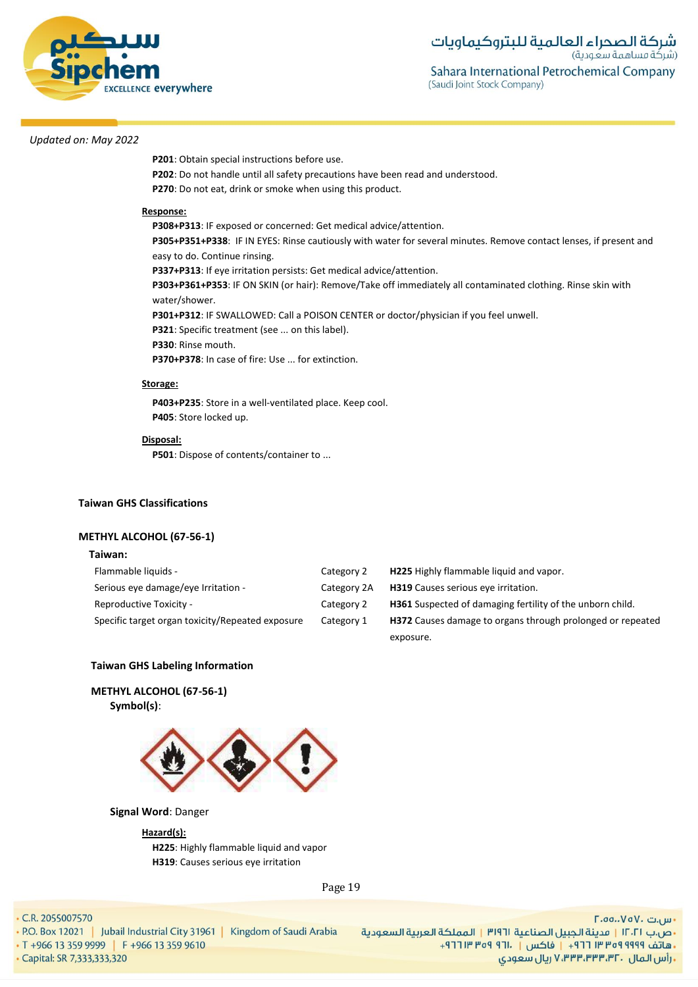

**P201**: Obtain special instructions before use.

**P202**: Do not handle until all safety precautions have been read and understood. **P270**: Do not eat, drink or smoke when using this product.

#### **Response:**

**P308+P313**: IF exposed or concerned: Get medical advice/attention.

**P305+P351+P338**: IF IN EYES: Rinse cautiously with water for several minutes. Remove contact lenses, if present and easy to do. Continue rinsing.

**P337+P313**: If eye irritation persists: Get medical advice/attention.

**P303+P361+P353**: IF ON SKIN (or hair): Remove/Take off immediately all contaminated clothing. Rinse skin with water/shower.

**P301+P312**: IF SWALLOWED: Call a POISON CENTER or doctor/physician if you feel unwell.

**P321**: Specific treatment (see ... on this label).

**P330**: Rinse mouth.

**P370+P378**: In case of fire: Use ... for extinction.

#### **Storage:**

**P403+P235**: Store in a well-ventilated place. Keep cool. **P405**: Store locked up.

#### **Disposal:**

**P501**: Dispose of contents/container to ...

#### **Taiwan GHS Classifications**

### **METHYL ALCOHOL (67-56-1)**

#### **Taiwan:**

| Flammable liquids -                              | Category 2  | H225 Highly flammable liquid and vapor.                           |
|--------------------------------------------------|-------------|-------------------------------------------------------------------|
| Serious eye damage/eye Irritation -              | Category 2A | <b>H319</b> Causes serious eye irritation.                        |
| Reproductive Toxicity -                          | Category 2  | <b>H361</b> Suspected of damaging fertility of the unborn child.  |
| Specific target organ toxicity/Repeated exposure | Category 1  | <b>H372</b> Causes damage to organs through prolonged or repeated |
|                                                  |             | exposure.                                                         |

### **Taiwan GHS Labeling Information**

**METHYL ALCOHOL (67-56-1) Symbol(s)**:



#### **Signal Word**: Danger

#### **Hazard(s):**

**H225**: Highly flammable liquid and vapor **H319**: Causes serious eye irritation

Page 19

. C.R. 2055007570

- P.O. Box 12021 | Jubail Industrial City 31961 | Kingdom of Saudi Arabia
- T +966 13 359 9999 | F +966 13 359 9610 · Capital: SR 7,333,333,320

- س.ت ۷۵۷۰، ۲.۵۵.۰۷۵ •ص.ب ١٢٠٢١ | مدينة الجبيل الصناعية ٣١٩٦١ | المملكة العربية السعودية - هاتف ٩٩٩٩ ٩٥٩ ٣٣ ٣ ٢٦١ - إ فاكس | . ١٣ ٢٥٩ ٣ ١٣ ٢٦٢ ريال سعودي, ۷٬۳۳۳٬۳۳۳٬۳۲۰ ريال سعودي